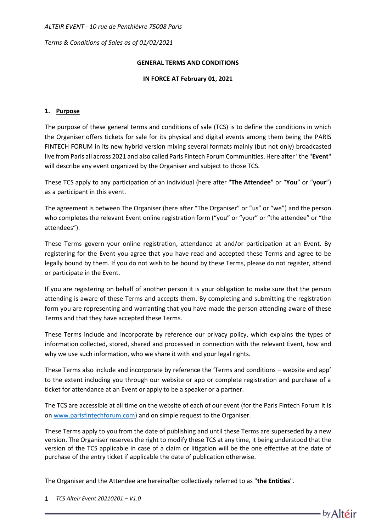## **GENERAL TERMS AND CONDITIONS**

### **IN FORCE AT February 01, 2021**

## **1. Purpose**

The purpose of these general terms and conditions of sale (TCS) is to define the conditions in which the Organiser offers tickets for sale for its physical and digital events among them being the PARIS FINTECH FORUM in its new hybrid version mixing several formats mainly (but not only) broadcasted live from Paris all across 2021 and also called Paris Fintech Forum Communities. Here after "the "**Event**" will describe any event organized by the Organiser and subject to those TCS.

These TCS apply to any participation of an individual (here after "**The Attendee**" or "**You**" or "**your**") as a participant in this event.

The agreement is between The Organiser (here after "The Organiser" or "us" or "we") and the person who completes the relevant Event online registration form ("you" or "your" or "the attendee" or "the attendees").

These Terms govern your online registration, attendance at and/or participation at an Event. By registering for the Event you agree that you have read and accepted these Terms and agree to be legally bound by them. If you do not wish to be bound by these Terms, please do not register, attend or participate in the Event.

If you are registering on behalf of another person it is your obligation to make sure that the person attending is aware of these Terms and accepts them. By completing and submitting the registration form you are representing and warranting that you have made the person attending aware of these Terms and that they have accepted these Terms.

These Terms include and incorporate by reference our privacy policy, which explains the types of information collected, stored, shared and processed in connection with the relevant Event, how and why we use such information, who we share it with and your legal rights.

These Terms also include and incorporate by reference the 'Terms and conditions – website and app' to the extent including you through our website or app or complete registration and purchase of a ticket for attendance at an Event or apply to be a speaker or a partner.

The TCS are accessible at all time on the website of each of our event (for the Paris Fintech Forum it is on [www.parisfintechforum.com\)](http://www.parisfintechforum.com/) and on simple request to the Organiser.

These Terms apply to you from the date of publishing and until these Terms are superseded by a new version. The Organiser reserves the right to modify these TCS at any time, it being understood that the version of the TCS applicable in case of a claim or litigation will be the one effective at the date of purchase of the entry ticket if applicable the date of publication otherwise.

The Organiser and the Attendee are hereinafter collectively referred to as "**the Entities**".

1 *TCS Alteir Event 20210201 – V1.0*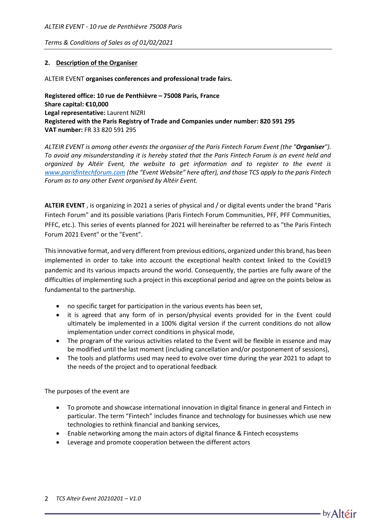### **2. Description of the Organiser**

#### ALTEIR EVENT **organises conferences and professional trade fairs.**

**Registered office: 10 rue de Penthièvre – 75008 Paris, France Share capital: €10,000 Legal representative:** Laurent NIZRI **Registered with the Paris Registry of Trade and Companies under number: 820 591 295 VAT number:** FR 33 820 591 295

*ALTEIR EVENT is among other events the organiser of the Paris Fintech Forum Event (the "Organiser"). To avoid any misunderstanding it is hereby stated that the Paris Fintech Forum is an event held and organized by Altéir Event, the website to get information and to register to the event is [www.parisfintechforum.com](http://www.parisfintechforum.com/) (the "Event Website" here after), and those TCS apply to the paris Fintech Forum as to any other Event organised by Altéir Event.*

**ALTEIR EVENT** , is organizing in 2021 a series of physical and / or digital events under the brand "Paris Fintech Forum" and its possible variations (Paris Fintech Forum Communities, PFF, PFF Communities, PFFC, etc.). This series of events planned for 2021 will hereinafter be referred to as "the Paris Fintech Forum 2021 Event" or the "Event".

This innovative format, and very different from previous editions, organized under this brand, has been implemented in order to take into account the exceptional health context linked to the Covid19 pandemic and its various impacts around the world. Consequently, the parties are fully aware of the difficulties of implementing such a project in this exceptional period and agree on the points below as fundamental to the partnership.

- no specific target for participation in the various events has been set,
- it is agreed that any form of in person/physical events provided for in the Event could ultimately be implemented in a 100% digital version if the current conditions do not allow implementation under correct conditions in physical mode,
- The program of the various activities related to the Event will be flexible in essence and may be modified until the last moment (including cancellation and/or postponement of sessions),
- The tools and platforms used may need to evolve over time during the year 2021 to adapt to the needs of the project and to operational feedback

The purposes of the event are

- To promote and showcase international innovation in digital finance in general and Fintech in particular. The term "Fintech" includes finance and technology for businesses which use new technologies to rethink financial and banking services,
- Enable networking among the main actors of digital finance & Fintech ecosystems
- Leverage and promote cooperation between the different actors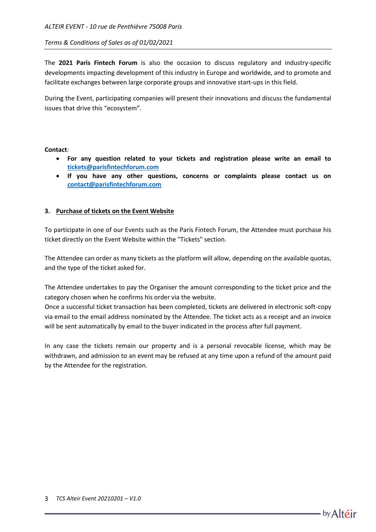The **2021 Paris Fintech Forum** is also the occasion to discuss regulatory and industry-specific developments impacting development of this industry in Europe and worldwide, and to promote and facilitate exchanges between large corporate groups and innovative start-ups in this field.

During the Event, participating companies will present their innovations and discuss the fundamental issues that drive this "ecosystem".

#### **Contact**:

- **For any question related to your tickets and registration please write an email to [tickets@parisfintechforum.com](mailto:tickets@parisfintechforum.com)**
- **If you have any other questions, concerns or complaints please contact us on [contact@parisfintechforum.com](mailto:contact@parisfintechforum.com)**

#### **3. Purchase of tickets on the Event Website**

To participate in one of our Events such as the Paris Fintech Forum, the Attendee must purchase his ticket directly on the Event Website within the "Tickets" section.

The Attendee can order as many tickets as the platform will allow, depending on the available quotas, and the type of the ticket asked for.

The Attendee undertakes to pay the Organiser the amount corresponding to the ticket price and the category chosen when he confirms his order via the website.

Once a successful ticket transaction has been completed, tickets are delivered in electronic soft-copy via email to the email address nominated by the Attendee. The ticket acts as a receipt and an invoice will be sent automatically by email to the buyer indicated in the process after full payment.

In any case the tickets remain our property and is a personal revocable license, which may be withdrawn, and admission to an event may be refused at any time upon a refund of the amount paid by the Attendee for the registration.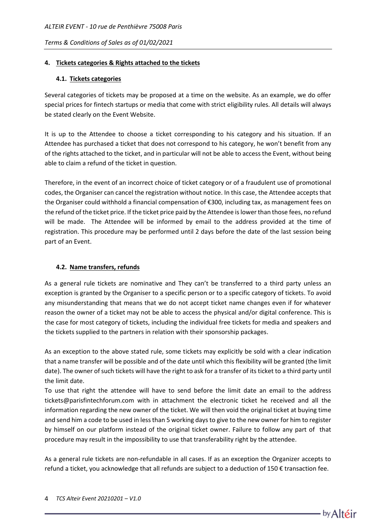## **4. Tickets categories & Rights attached to the tickets**

## **4.1. Tickets categories**

Several categories of tickets may be proposed at a time on the website. As an example, we do offer special prices for fintech startups or media that come with strict eligibility rules. All details will always be stated clearly on the Event Website.

It is up to the Attendee to choose a ticket corresponding to his category and his situation. If an Attendee has purchased a ticket that does not correspond to his category, he won't benefit from any of the rights attached to the ticket, and in particular will not be able to access the Event, without being able to claim a refund of the ticket in question.

Therefore, in the event of an incorrect choice of ticket category or of a fraudulent use of promotional codes, the Organiser can cancel the registration without notice. In this case, the Attendee accepts that the Organiser could withhold a financial compensation of €300, including tax, as management fees on the refund of the ticket price. If the ticket price paid by the Attendee is lower than those fees, no refund will be made. The Attendee will be informed by email to the address provided at the time of registration. This procedure may be performed until 2 days before the date of the last session being part of an Event.

# **4.2. Name transfers, refunds**

As a general rule tickets are nominative and They can't be transferred to a third party unless an exception is granted by the Organiser to a specific person or to a specific category of tickets. To avoid any misunderstanding that means that we do not accept ticket name changes even if for whatever reason the owner of a ticket may not be able to access the physical and/or digital conference. This is the case for most category of tickets, including the individual free tickets for media and speakers and the tickets supplied to the partners in relation with their sponsorship packages.

As an exception to the above stated rule, some tickets may explicitly be sold with a clear indication that a name transfer will be possible and of the date until which this flexibility will be granted (the limit date). The owner of such tickets will have the right to ask for a transfer of its ticket to a third party until the limit date.

To use that right the attendee will have to send before the limit date an email to the address tickets@parisfintechforum.com with in attachment the electronic ticket he received and all the information regarding the new owner of the ticket. We will then void the original ticket at buying time and send him a code to be used in less than 5 working days to give to the new owner for him to register by himself on our platform instead of the original ticket owner. Failure to follow any part of that procedure may result in the impossibility to use that transferability right by the attendee.

As a general rule tickets are non-refundable in all cases. If as an exception the Organizer accepts to refund a ticket, you acknowledge that all refunds are subject to a deduction of 150 € transaction fee.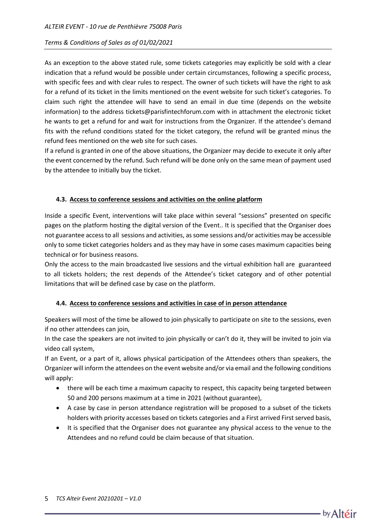As an exception to the above stated rule, some tickets categories may explicitly be sold with a clear indication that a refund would be possible under certain circumstances, following a specific process, with specific fees and with clear rules to respect. The owner of such tickets will have the right to ask for a refund of its ticket in the limits mentioned on the event website for such ticket's categories. To claim such right the attendee will have to send an email in due time (depends on the website information) to the address tickets@parisfintechforum.com with in attachment the electronic ticket he wants to get a refund for and wait for instructions from the Organizer. If the attendee's demand fits with the refund conditions stated for the ticket category, the refund will be granted minus the refund fees mentioned on the web site for such cases.

If a refund is granted in one of the above situations, the Organizer may decide to execute it only after the event concerned by the refund. Such refund will be done only on the same mean of payment used by the attendee to initially buy the ticket.

### **4.3. Access to conference sessions and activities on the online platform**

Inside a specific Event, interventions will take place within several "sessions" presented on specific pages on the platform hosting the digital version of the Event.. It is specified that the Organiser does not guarantee access to all sessions and activities, as some sessions and/or activities may be accessible only to some ticket categories holders and as they may have in some cases maximum capacities being technical or for business reasons.

Only the access to the main broadcasted live sessions and the virtual exhibition hall are guaranteed to all tickets holders; the rest depends of the Attendee's ticket category and of other potential limitations that will be defined case by case on the platform.

### **4.4. Access to conference sessions and activities in case of in person attendance**

Speakers will most of the time be allowed to join physically to participate on site to the sessions, even if no other attendees can join,

In the case the speakers are not invited to join physically or can't do it, they will be invited to join via video call system,

If an Event, or a part of it, allows physical participation of the Attendees others than speakers, the Organizer will inform the attendees on the event website and/or via email and the following conditions will apply:

- there will be each time a maximum capacity to respect, this capacity being targeted between 50 and 200 persons maximum at a time in 2021 (without guarantee),
- A case by case in person attendance registration will be proposed to a subset of the tickets holders with priority accesses based on tickets categories and a First arrived First served basis,
- It is specified that the Organiser does not guarantee any physical access to the venue to the Attendees and no refund could be claim because of that situation.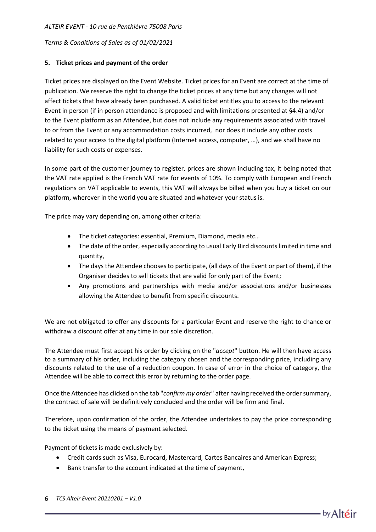## **5. Ticket prices and payment of the order**

Ticket prices are displayed on the Event Website. Ticket prices for an Event are correct at the time of publication. We reserve the right to change the ticket prices at any time but any changes will not affect tickets that have already been purchased. A valid ticket entitles you to access to the relevant Event in person (if in person attendance is proposed and with limitations presented at §4.4) and/or to the Event platform as an Attendee, but does not include any requirements associated with travel to or from the Event or any accommodation costs incurred, nor does it include any other costs related to your access to the digital platform (Internet access, computer, …), and we shall have no liability for such costs or expenses.

In some part of the customer journey to register, prices are shown including tax, it being noted that the VAT rate applied is the French VAT rate for events of 10%. To comply with European and French regulations on VAT applicable to events, this VAT will always be billed when you buy a ticket on our platform, wherever in the world you are situated and whatever your status is.

The price may vary depending on, among other criteria:

- The ticket categories: essential, Premium, Diamond, media etc…
- The date of the order, especially according to usual Early Bird discounts limited in time and quantity,
- The days the Attendee chooses to participate, (all days of the Event or part of them), if the Organiser decides to sell tickets that are valid for only part of the Event;
- Any promotions and partnerships with media and/or associations and/or businesses allowing the Attendee to benefit from specific discounts.

We are not obligated to offer any discounts for a particular Event and reserve the right to chance or withdraw a discount offer at any time in our sole discretion.

The Attendee must first accept his order by clicking on the "*accept*" button. He will then have access to a summary of his order, including the category chosen and the corresponding price, including any discounts related to the use of a reduction coupon. In case of error in the choice of category, the Attendee will be able to correct this error by returning to the order page.

Once the Attendee has clicked on the tab "*confirm my order*" after having received the order summary, the contract of sale will be definitively concluded and the order will be firm and final.

Therefore, upon confirmation of the order, the Attendee undertakes to pay the price corresponding to the ticket using the means of payment selected.

Payment of tickets is made exclusively by:

- Credit cards such as Visa, Eurocard, Mastercard, Cartes Bancaires and American Express;
- Bank transfer to the account indicated at the time of payment,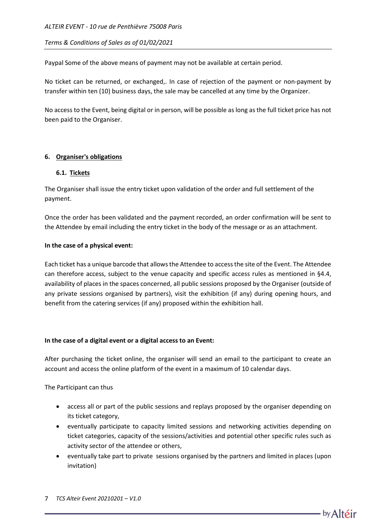Paypal Some of the above means of payment may not be available at certain period.

No ticket can be returned, or exchanged,. In case of rejection of the payment or non-payment by transfer within ten (10) business days, the sale may be cancelled at any time by the Organizer.

No access to the Event, being digital or in person, will be possible as long as the full ticket price has not been paid to the Organiser.

## **6. Organiser's obligations**

### **6.1. Tickets**

The Organiser shall issue the entry ticket upon validation of the order and full settlement of the payment.

Once the order has been validated and the payment recorded, an order confirmation will be sent to the Attendee by email including the entry ticket in the body of the message or as an attachment.

## **In the case of a physical event:**

Each ticket has a unique barcode that allows the Attendee to access the site of the Event. The Attendee can therefore access, subject to the venue capacity and specific access rules as mentioned in §4.4, availability of places in the spaces concerned, all public sessions proposed by the Organiser (outside of any private sessions organised by partners), visit the exhibition (if any) during opening hours, and benefit from the catering services (if any) proposed within the exhibition hall.

### **In the case of a digital event or a digital access to an Event:**

After purchasing the ticket online, the organiser will send an email to the participant to create an account and access the online platform of the event in a maximum of 10 calendar days.

The Participant can thus

- access all or part of the public sessions and replays proposed by the organiser depending on its ticket category,
- eventually participate to capacity limited sessions and networking activities depending on ticket categories, capacity of the sessions/activities and potential other specific rules such as activity sector of the attendee or others,
- eventually take part to private sessions organised by the partners and limited in places (upon invitation)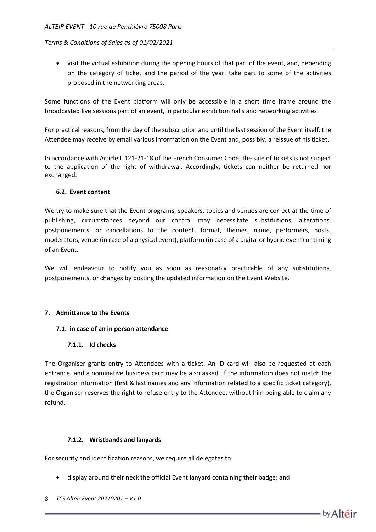• visit the virtual exhibition during the opening hours of that part of the event, and, depending on the category of ticket and the period of the year, take part to some of the activities proposed in the networking areas.

Some functions of the Event platform will only be accessible in a short time frame around the broadcasted live sessions part of an event, in particular exhibition halls and networking activities.

For practical reasons, from the day of the subscription and until the last session of the Event itself, the Attendee may receive by email various information on the Event and, possibly, a reissue of his ticket.

In accordance with Article L 121-21-18 of the French Consumer Code, the sale of tickets is not subject to the application of the right of withdrawal. Accordingly, tickets can neither be returned nor exchanged.

## **6.2. Event content**

We try to make sure that the Event programs, speakers, topics and venues are correct at the time of publishing, circumstances beyond our control may necessitate substitutions, alterations, postponements, or cancellations to the content, format, themes, name, performers, hosts, moderators, venue (in case of a physical event), platform (in case of a digital or hybrid event) or timing of an Event.

We will endeavour to notify you as soon as reasonably practicable of any substitutions, postponements, or changes by posting the updated information on the Event Website.

### **7. Admittance to the Events**

### **7.1. in case of an in person attendance**

### **7.1.1. Id checks**

The Organiser grants entry to Attendees with a ticket. An ID card will also be requested at each entrance, and a nominative business card may be also asked. If the information does not match the registration information (first & last names and any information related to a specific ticket category), the Organiser reserves the right to refuse entry to the Attendee, without him being able to claim any refund.

### **7.1.2. Wristbands and lanyards**

For security and identification reasons, we require all delegates to:

- display around their neck the official Event lanyard containing their badge; and
- 8 *TCS Alteir Event 20210201 – V1.0*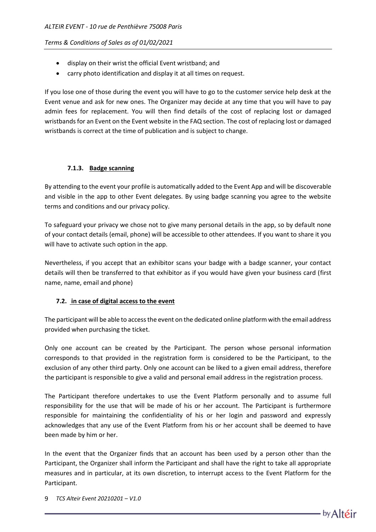- display on their wrist the official Event wristband; and
- carry photo identification and display it at all times on request.

If you lose one of those during the event you will have to go to the customer service help desk at the Event venue and ask for new ones. The Organizer may decide at any time that you will have to pay admin fees for replacement. You will then find details of the cost of replacing lost or damaged wristbands for an Event on the Event website in the FAQ section. The cost of replacing lost or damaged wristbands is correct at the time of publication and is subject to change.

# **7.1.3. Badge scanning**

By attending to the event your profile is automatically added to the Event App and will be discoverable and visible in the app to other Event delegates. By using badge scanning you agree to the website terms and conditions and our privacy policy.

To safeguard your privacy we chose not to give many personal details in the app, so by default none of your contact details (email, phone) will be accessible to other attendees. If you want to share it you will have to activate such option in the app.

Nevertheless, if you accept that an exhibitor scans your badge with a badge scanner, your contact details will then be transferred to that exhibitor as if you would have given your business card (first name, name, email and phone)

# **7.2. in case of digital access to the event**

The participant will be able to access the event on the dedicated online platform with the email address provided when purchasing the ticket.

Only one account can be created by the Participant. The person whose personal information corresponds to that provided in the registration form is considered to be the Participant, to the exclusion of any other third party. Only one account can be liked to a given email address, therefore the participant is responsible to give a valid and personal email address in the registration process.

The Participant therefore undertakes to use the Event Platform personally and to assume full responsibility for the use that will be made of his or her account. The Participant is furthermore responsible for maintaining the confidentiality of his or her login and password and expressly acknowledges that any use of the Event Platform from his or her account shall be deemed to have been made by him or her.

In the event that the Organizer finds that an account has been used by a person other than the Participant, the Organizer shall inform the Participant and shall have the right to take all appropriate measures and in particular, at its own discretion, to interrupt access to the Event Platform for the Participant.

9 *TCS Alteir Event 20210201 – V1.0*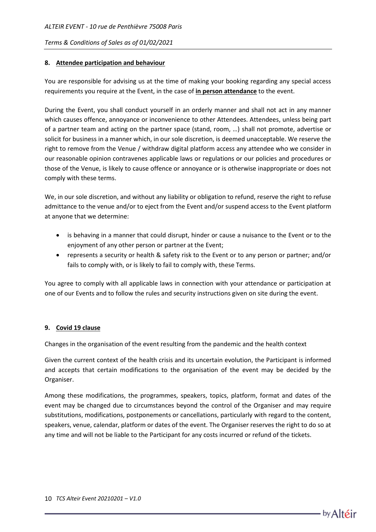## **8. Attendee participation and behaviour**

You are responsible for advising us at the time of making your booking regarding any special access requirements you require at the Event, in the case of **in person attendance** to the event.

During the Event, you shall conduct yourself in an orderly manner and shall not act in any manner which causes offence, annoyance or inconvenience to other Attendees. Attendees, unless being part of a partner team and acting on the partner space (stand, room, …) shall not promote, advertise or solicit for business in a manner which, in our sole discretion, is deemed unacceptable. We reserve the right to remove from the Venue / withdraw digital platform access any attendee who we consider in our reasonable opinion contravenes applicable laws or regulations or our policies and procedures or those of the Venue, is likely to cause offence or annoyance or is otherwise inappropriate or does not comply with these terms.

We, in our sole discretion, and without any liability or obligation to refund, reserve the right to refuse admittance to the venue and/or to eject from the Event and/or suspend access to the Event platform at anyone that we determine:

- is behaving in a manner that could disrupt, hinder or cause a nuisance to the Event or to the enjoyment of any other person or partner at the Event;
- represents a security or health & safety risk to the Event or to any person or partner; and/or fails to comply with, or is likely to fail to comply with, these Terms.

You agree to comply with all applicable laws in connection with your attendance or participation at one of our Events and to follow the rules and security instructions given on site during the event.

### **9. Covid 19 clause**

Changes in the organisation of the event resulting from the pandemic and the health context

Given the current context of the health crisis and its uncertain evolution, the Participant is informed and accepts that certain modifications to the organisation of the event may be decided by the Organiser.

Among these modifications, the programmes, speakers, topics, platform, format and dates of the event may be changed due to circumstances beyond the control of the Organiser and may require substitutions, modifications, postponements or cancellations, particularly with regard to the content, speakers, venue, calendar, platform or dates of the event. The Organiser reserves the right to do so at any time and will not be liable to the Participant for any costs incurred or refund of the tickets.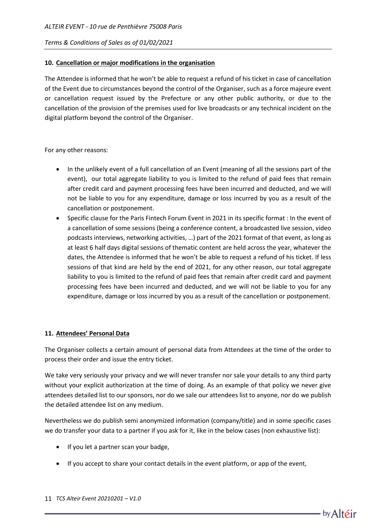### **10. Cancellation or major modifications in the organisation**

The Attendee is informed that he won't be able to request a refund of his ticket in case of cancellation of the Event due to circumstances beyond the control of the Organiser, such as a force majeure event or cancellation request issued by the Prefecture or any other public authority, or due to the cancellation of the provision of the premises used for live broadcasts or any technical incident on the digital platform beyond the control of the Organiser.

For any other reasons:

- In the unlikely event of a full cancellation of an Event (meaning of all the sessions part of the event), our total aggregate liability to you is limited to the refund of paid fees that remain after credit card and payment processing fees have been incurred and deducted, and we will not be liable to you for any expenditure, damage or loss incurred by you as a result of the cancellation or postponement.
- Specific clause for the Paris Fintech Forum Event in 2021 in its specific format : In the event of a cancellation of some sessions (being a conference content, a broadcasted live session, video podcasts interviews, networking activities, …) part of the 2021 format of that event, as long as at least 6 half days digital sessions of thematic content are held across the year, whatever the dates, the Attendee is informed that he won't be able to request a refund of his ticket. If less sessions of that kind are held by the end of 2021, for any other reason, our total aggregate liability to you is limited to the refund of paid fees that remain after credit card and payment processing fees have been incurred and deducted, and we will not be liable to you for any expenditure, damage or loss incurred by you as a result of the cancellation or postponement.

#### **11. Attendees' Personal Data**

The Organiser collects a certain amount of personal data from Attendees at the time of the order to process their order and issue the entry ticket.

We take very seriously your privacy and we will never transfer nor sale your details to any third party without your explicit authorization at the time of doing. As an example of that policy we never give attendees detailed list to our sponsors, nor do we sale our attendees list to anyone, nor do we publish the detailed attendee list on any medium.

Nevertheless we do publish semi anonymized information (company/title) and in some specific cases we do transfer your data to a partner if you ask for it, like in the below cases (non exhaustive list):

- If you let a partner scan your badge,
- If you accept to share your contact details in the event platform, or app of the event,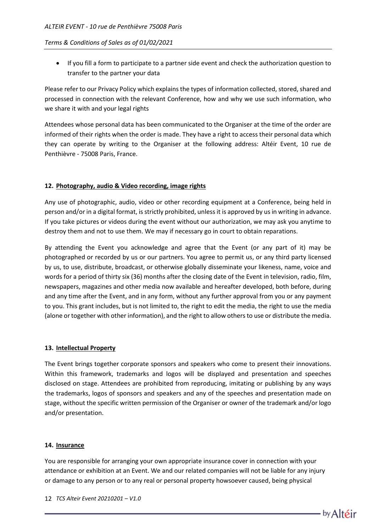• If you fill a form to participate to a partner side event and check the authorization question to transfer to the partner your data

Please refer to our Privacy Policy which explains the types of information collected, stored, shared and processed in connection with the relevant Conference, how and why we use such information, who we share it with and your legal rights

Attendees whose personal data has been communicated to the Organiser at the time of the order are informed of their rights when the order is made. They have a right to access their personal data which they can operate by writing to the Organiser at the following address: Altéir Event, 10 rue de Penthièvre - 75008 Paris, France.

### **12. Photography, audio & Video recording, image rights**

Any use of photographic, audio, video or other recording equipment at a Conference, being held in person and/or in a digital format, is strictly prohibited, unless it is approved by us in writing in advance. If you take pictures or videos during the event without our authorization, we may ask you anytime to destroy them and not to use them. We may if necessary go in court to obtain reparations.

By attending the Event you acknowledge and agree that the Event (or any part of it) may be photographed or recorded by us or our partners. You agree to permit us, or any third party licensed by us, to use, distribute, broadcast, or otherwise globally disseminate your likeness, name, voice and words for a period of thirty six (36) months after the closing date of the Event in television, radio, film, newspapers, magazines and other media now available and hereafter developed, both before, during and any time after the Event, and in any form, without any further approval from you or any payment to you. This grant includes, but is not limited to, the right to edit the media, the right to use the media (alone or together with other information), and the right to allow others to use or distribute the media.

### **13. Intellectual Property**

The Event brings together corporate sponsors and speakers who come to present their innovations. Within this framework, trademarks and logos will be displayed and presentation and speeches disclosed on stage. Attendees are prohibited from reproducing, imitating or publishing by any ways the trademarks, logos of sponsors and speakers and any of the speeches and presentation made on stage, without the specific written permission of the Organiser or owner of the trademark and/or logo and/or presentation.

### **14. Insurance**

You are responsible for arranging your own appropriate insurance cover in connection with your attendance or exhibition at an Event. We and our related companies will not be liable for any injury or damage to any person or to any real or personal property howsoever caused, being physical